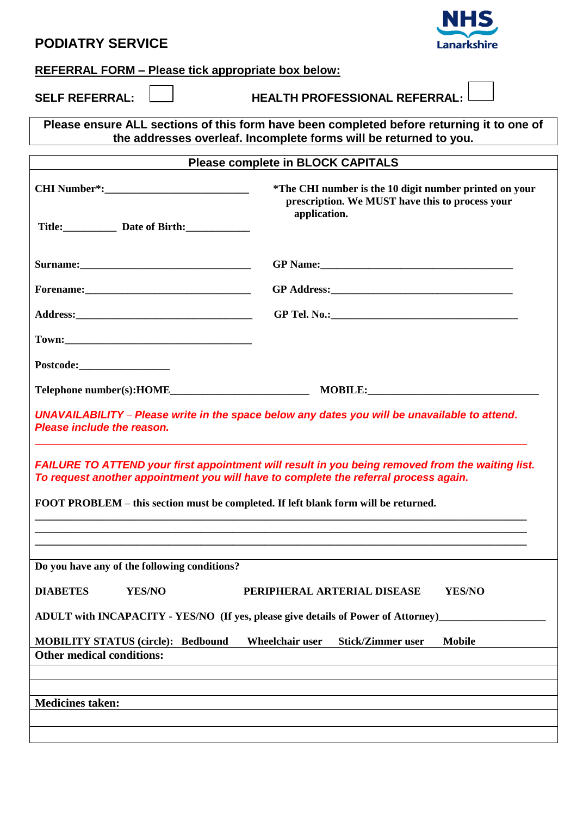| <b>PODIATRY SERVICE</b>                                                                                                                                                                  | <b>Lanarkshire</b>                                                                                        |  |
|------------------------------------------------------------------------------------------------------------------------------------------------------------------------------------------|-----------------------------------------------------------------------------------------------------------|--|
| <b>REFERRAL FORM - Please tick appropriate box below:</b>                                                                                                                                |                                                                                                           |  |
| <b>SELF REFERRAL:</b>                                                                                                                                                                    | <b>HEALTH PROFESSIONAL REFERRAL:</b>                                                                      |  |
| Please ensure ALL sections of this form have been completed before returning it to one of<br>the addresses overleaf. Incomplete forms will be returned to you.                           |                                                                                                           |  |
| <b>Please complete in BLOCK CAPITALS</b>                                                                                                                                                 |                                                                                                           |  |
|                                                                                                                                                                                          | *The CHI number is the 10 digit number printed on your<br>prescription. We MUST have this to process your |  |
| Title: Date of Birth:                                                                                                                                                                    | application.                                                                                              |  |
|                                                                                                                                                                                          |                                                                                                           |  |
|                                                                                                                                                                                          |                                                                                                           |  |
|                                                                                                                                                                                          |                                                                                                           |  |
|                                                                                                                                                                                          |                                                                                                           |  |
|                                                                                                                                                                                          |                                                                                                           |  |
|                                                                                                                                                                                          |                                                                                                           |  |
| UNAVAILABILITY - Please write in the space below any dates you will be unavailable to attend.<br>Please include the reason.                                                              |                                                                                                           |  |
| FAILURE TO ATTEND your first appointment will result in you being removed from the waiting list.<br>To request another appointment you will have to complete the referral process again. |                                                                                                           |  |
| FOOT PROBLEM – this section must be completed. If left blank form will be returned.                                                                                                      |                                                                                                           |  |
|                                                                                                                                                                                          |                                                                                                           |  |
| Do you have any of the following conditions?                                                                                                                                             |                                                                                                           |  |
| YES/NO<br><b>DIABETES</b>                                                                                                                                                                | PERIPHERAL ARTERIAL DISEASE<br>YES/NO                                                                     |  |
| ADULT with INCAPACITY - YES/NO (If yes, please give details of Power of Attorney)                                                                                                        |                                                                                                           |  |
| <b>MOBILITY STATUS (circle): Bedbound</b><br>Wheelchair user<br><b>Stick/Zimmer user</b><br><b>Mobile</b>                                                                                |                                                                                                           |  |
| <b>Other medical conditions:</b>                                                                                                                                                         |                                                                                                           |  |
|                                                                                                                                                                                          |                                                                                                           |  |
| <b>Medicines taken:</b>                                                                                                                                                                  |                                                                                                           |  |
|                                                                                                                                                                                          |                                                                                                           |  |

**NHS**